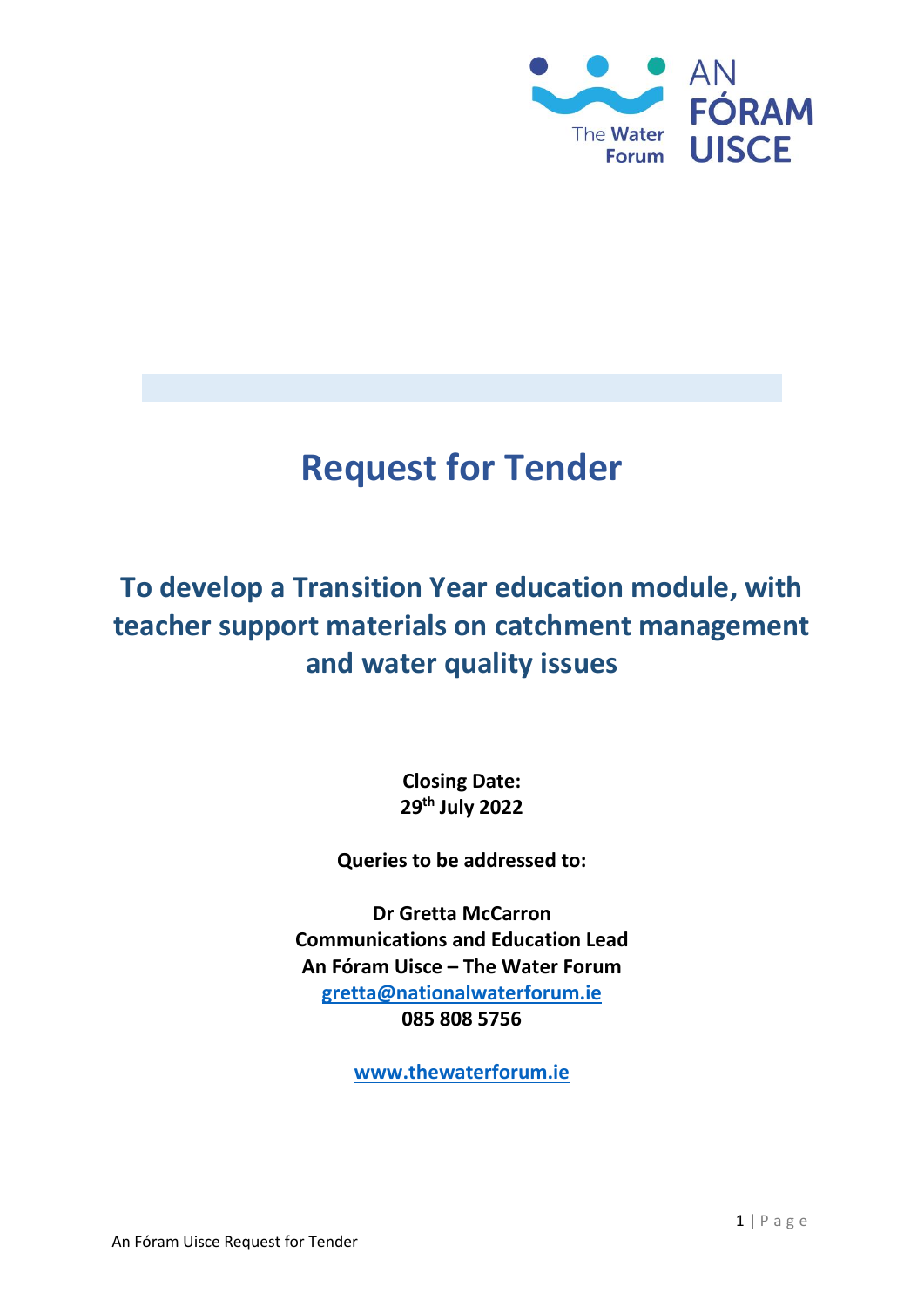

# **Request for Tender**

## **To develop a Transition Year education module, with teacher support materials on catchment management and water quality issues**

**Closing Date: 29th July 2022**

**Queries to be addressed to:**

**Dr Gretta McCarron Communications and Education Lead An Fóram Uisce – The Water Forum [gretta@nationalwaterforum.ie](mailto:gretta@nationalwaterforum.ie) 085 808 5756**

**[www.thewaterforum.ie](http://www.nationalwaterforum.ie/)**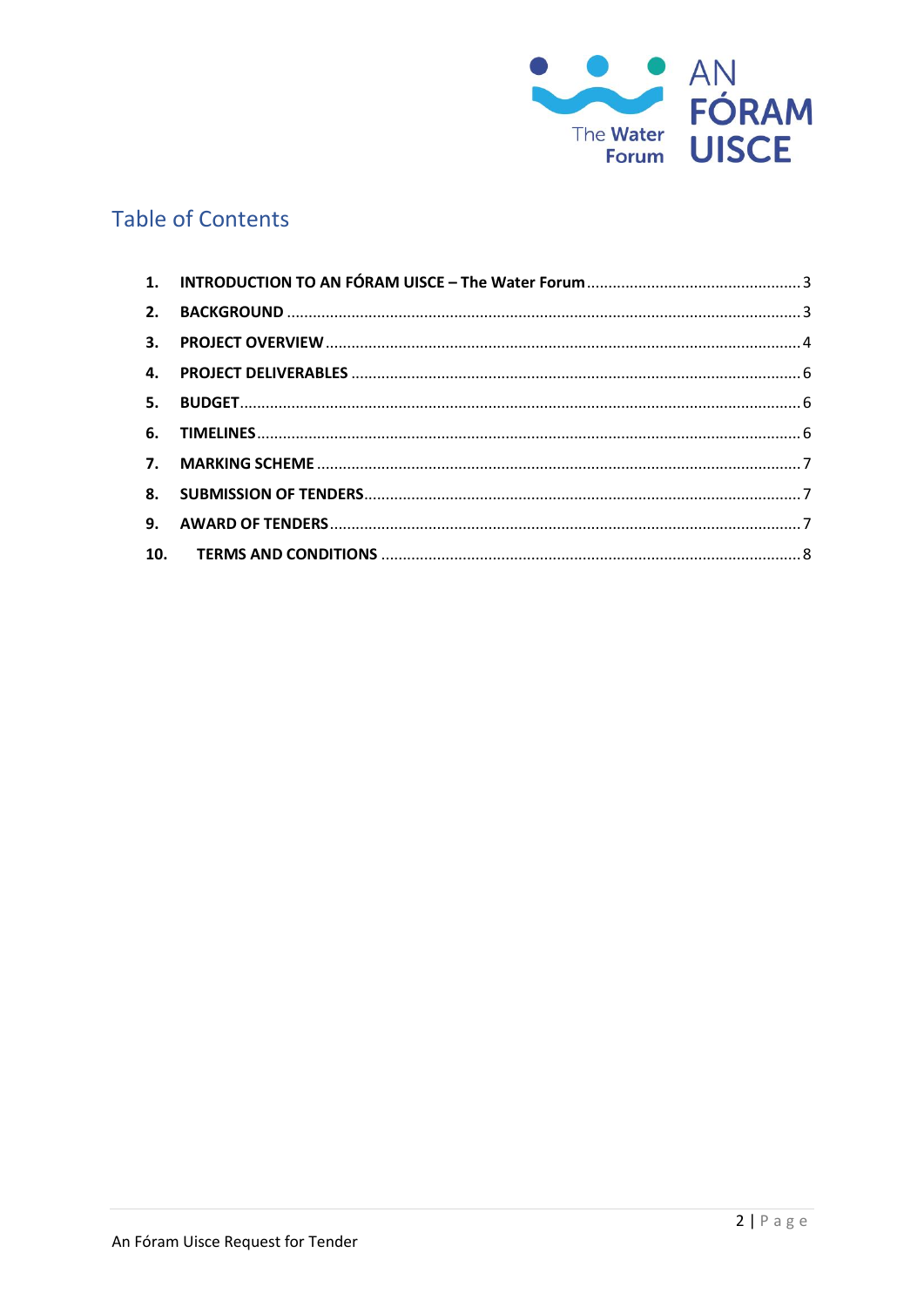

### **Table of Contents**

| 3. |  |
|----|--|
|    |  |
| 5. |  |
|    |  |
|    |  |
|    |  |
| 9. |  |
|    |  |
|    |  |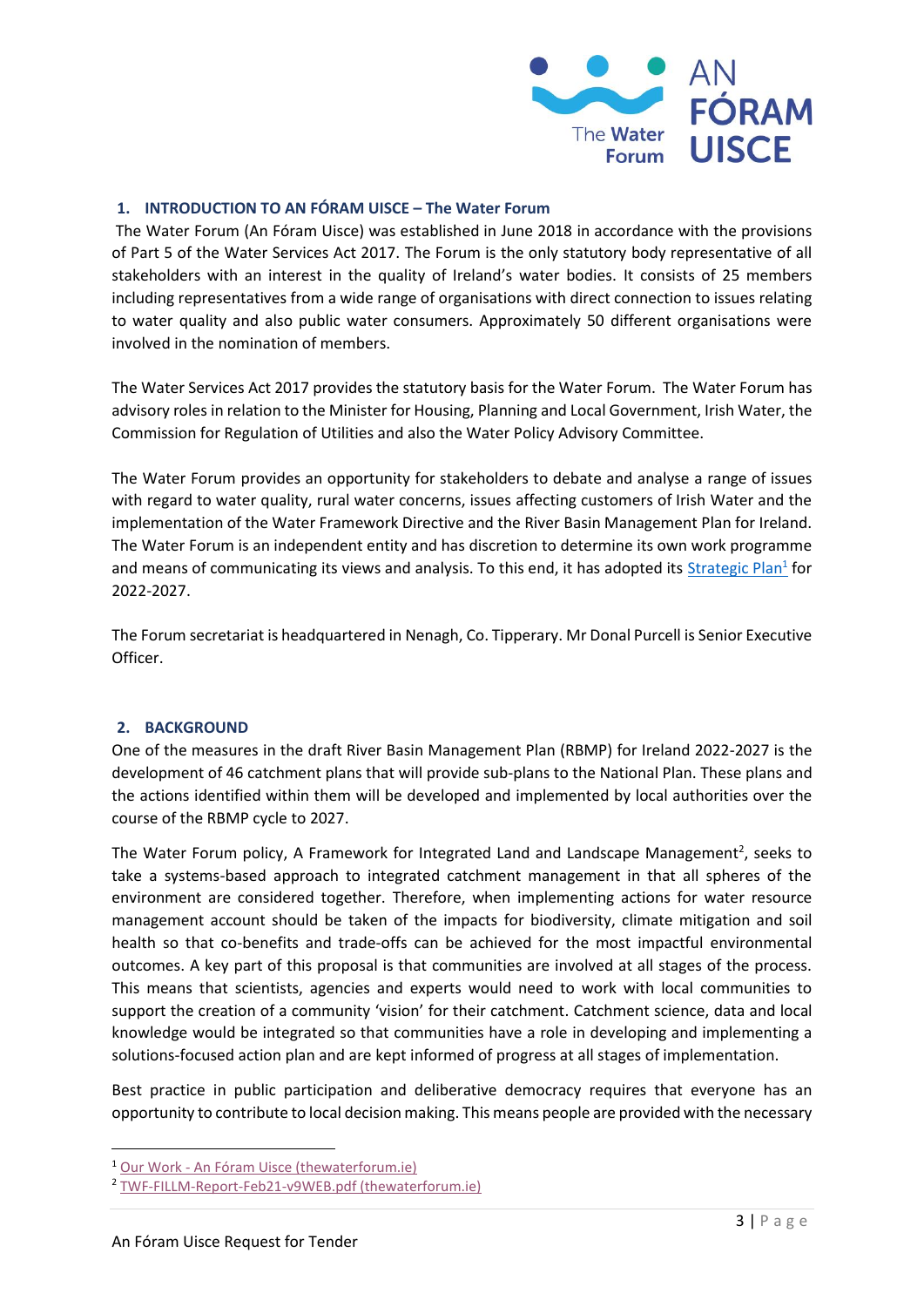

#### <span id="page-2-0"></span>**1. INTRODUCTION TO AN FÓRAM UISCE – The Water Forum**

The Water Forum (An Fóram Uisce) was established in June 2018 in accordance with the provisions of Part 5 of the Water Services Act 2017. The Forum is the only statutory body representative of all stakeholders with an interest in the quality of Ireland's water bodies. It consists of 25 members including representatives from a wide range of organisations with direct connection to issues relating to water quality and also public water consumers. Approximately 50 different organisations were involved in the nomination of members.

The Water Services Act 2017 provides the statutory basis for the Water Forum. The Water Forum has advisory roles in relation to the Minister for Housing, Planning and Local Government, Irish Water, the Commission for Regulation of Utilities and also the Water Policy Advisory Committee.

The Water Forum provides an opportunity for stakeholders to debate and analyse a range of issues with regard to water quality, rural water concerns, issues affecting customers of Irish Water and the implementation of the Water Framework Directive and the River Basin Management Plan for Ireland. The Water Forum is an independent entity and has discretion to determine its own work programme and means of communicating its views and analysis. To this end, it has adopted its **Strategic Plan<sup>1</sup>** for 2022-2027.

The Forum secretariat is headquartered in Nenagh, Co. Tipperary. Mr Donal Purcell is Senior Executive Officer.

#### <span id="page-2-1"></span>**2. BACKGROUND**

One of the measures in the draft River Basin Management Plan (RBMP) for Ireland 2022-2027 is the development of 46 catchment plans that will provide sub-plans to the National Plan. These plans and the actions identified within them will be developed and implemented by local authorities over the course of the RBMP cycle to 2027.

The Water Forum policy, A Framework for Integrated Land and Landscape Management<sup>2</sup>, seeks to take a systems-based approach to integrated catchment management in that all spheres of the environment are considered together. Therefore, when implementing actions for water resource management account should be taken of the impacts for biodiversity, climate mitigation and soil health so that co-benefits and trade-offs can be achieved for the most impactful environmental outcomes. A key part of this proposal is that communities are involved at all stages of the process. This means that scientists, agencies and experts would need to work with local communities to support the creation of a community 'vision' for their catchment. Catchment science, data and local knowledge would be integrated so that communities have a role in developing and implementing a solutions-focused action plan and are kept informed of progress at all stages of implementation.

Best practice in public participation and deliberative democracy requires that everyone has an opportunity to contribute to local decision making. This means people are provided with the necessary

<sup>1</sup> Our Work - An Fóram [Uisce \(thewaterforum.ie\)](https://thewaterforum.ie/our-work/#strategic-objectives)

<sup>2</sup> [TWF-FILLM-Report-Feb21-v9WEB.pdf \(thewaterforum.ie\)](https://www.thewaterforum.ie/app/uploads/2021/03/TWF-FILLM-Report-Feb21-v9WEB.pdf)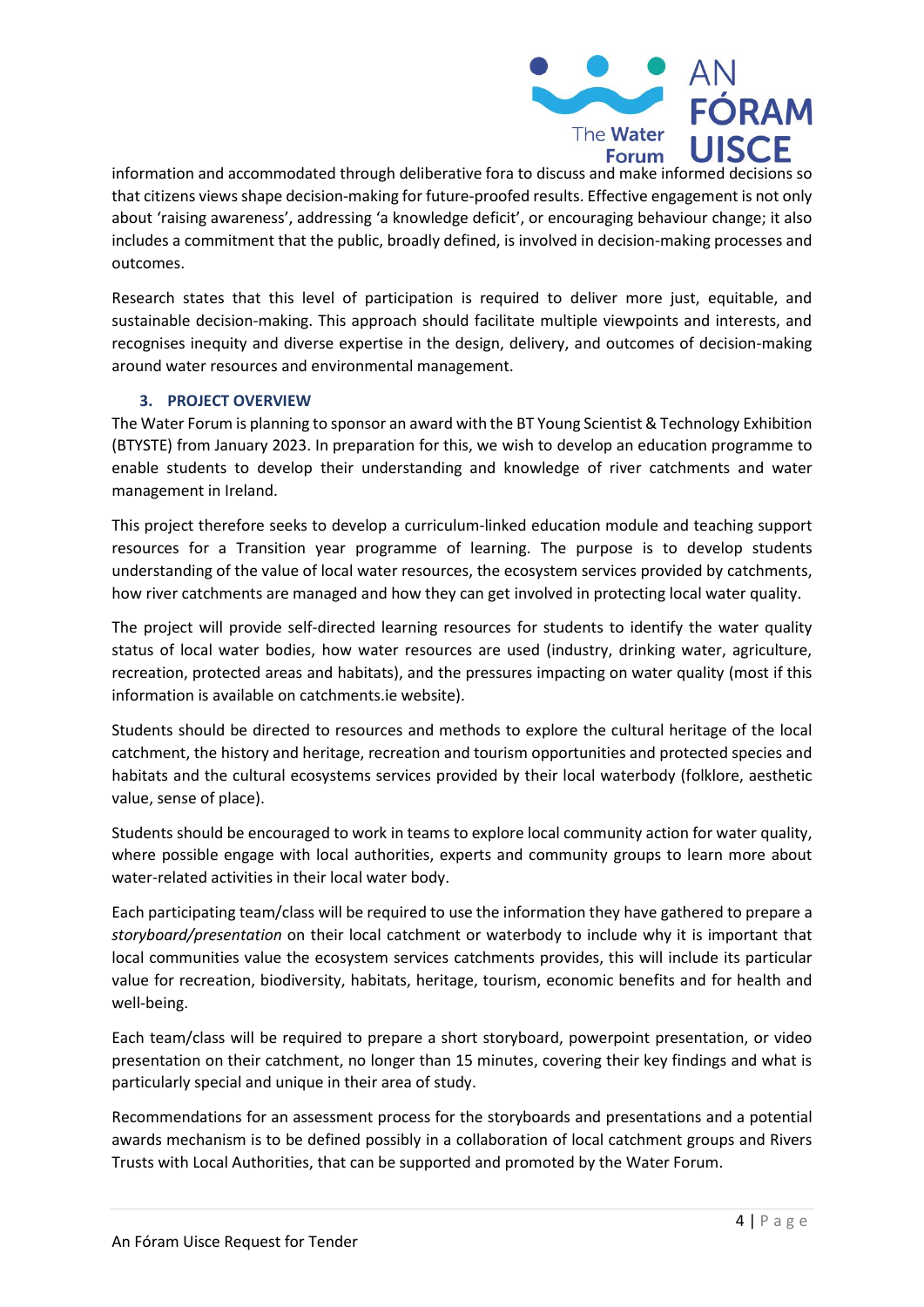

information and accommodated through deliberative fora to discuss and make informed decisions so that citizens views shape decision-making for future-proofed results. Effective engagement is not only about 'raising awareness', addressing 'a knowledge deficit', or encouraging behaviour change; it also includes a commitment that the public, broadly defined, is involved in decision-making processes and outcomes.

Research states that this level of participation is required to deliver more just, equitable, and sustainable decision-making. This approach should facilitate multiple viewpoints and interests, and recognises inequity and diverse expertise in the design, delivery, and outcomes of decision-making around water resources and environmental management.

#### **3. PROJECT OVERVIEW**

<span id="page-3-0"></span>The Water Forum is planning to sponsor an award with the BT Young Scientist & Technology Exhibition (BTYSTE) from January 2023. In preparation for this, we wish to develop an education programme to enable students to develop their understanding and knowledge of river catchments and water management in Ireland.

This project therefore seeks to develop a curriculum-linked education module and teaching support resources for a Transition year programme of learning. The purpose is to develop students understanding of the value of local water resources, the ecosystem services provided by catchments, how river catchments are managed and how they can get involved in protecting local water quality.

The project will provide self-directed learning resources for students to identify the water quality status of local water bodies, how water resources are used (industry, drinking water, agriculture, recreation, protected areas and habitats), and the pressures impacting on water quality (most if this information is available on catchments.ie website).

Students should be directed to resources and methods to explore the cultural heritage of the local catchment, the history and heritage, recreation and tourism opportunities and protected species and habitats and the cultural ecosystems services provided by their local waterbody (folklore, aesthetic value, sense of place).

Students should be encouraged to work in teams to explore local community action for water quality, where possible engage with local authorities, experts and community groups to learn more about water-related activities in their local water body.

Each participating team/class will be required to use the information they have gathered to prepare a *storyboard/presentation* on their local catchment or waterbody to include why it is important that local communities value the ecosystem services catchments provides, this will include its particular value for recreation, biodiversity, habitats, heritage, tourism, economic benefits and for health and well-being.

Each team/class will be required to prepare a short storyboard, powerpoint presentation, or video presentation on their catchment, no longer than 15 minutes, covering their key findings and what is particularly special and unique in their area of study.

Recommendations for an assessment process for the storyboards and presentations and a potential awards mechanism is to be defined possibly in a collaboration of local catchment groups and Rivers Trusts with Local Authorities, that can be supported and promoted by the Water Forum.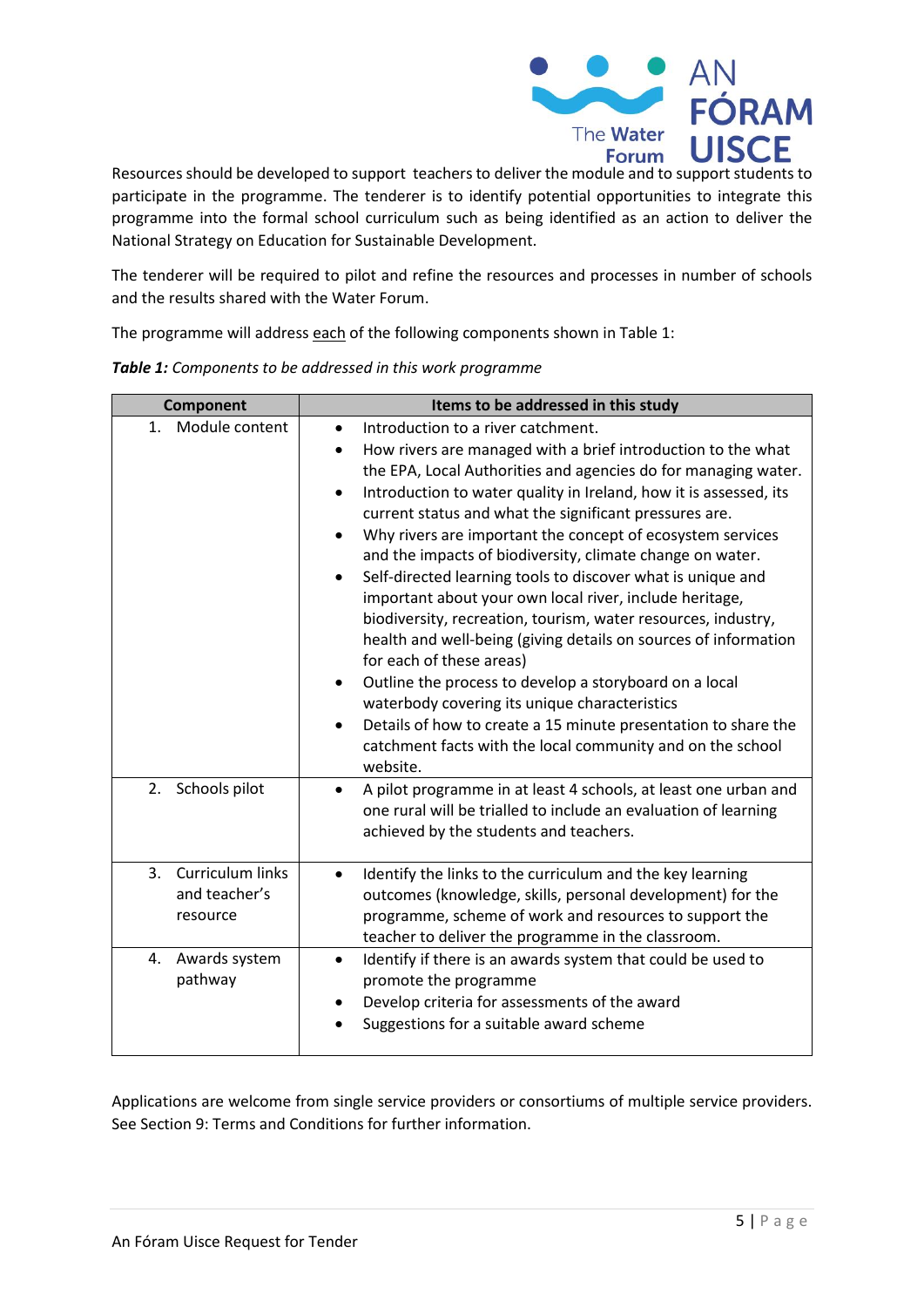

Resources should be developed to support teachers to deliver the module and to support students to participate in the programme. The tenderer is to identify potential opportunities to integrate this programme into the formal school curriculum such as being identified as an action to deliver the National Strategy on Education for Sustainable Development.

The tenderer will be required to pilot and refine the resources and processes in number of schools and the results shared with the Water Forum.

The programme will address each of the following components shown i[n Table 1:](#page-4-0)

| Component                                           | Items to be addressed in this study                                                                                                                                                                                                                                                                                                                                                                                                                                                                                                                                                                                                                                                                                                                                                                                                                                                                                                                                                                                                      |  |  |
|-----------------------------------------------------|------------------------------------------------------------------------------------------------------------------------------------------------------------------------------------------------------------------------------------------------------------------------------------------------------------------------------------------------------------------------------------------------------------------------------------------------------------------------------------------------------------------------------------------------------------------------------------------------------------------------------------------------------------------------------------------------------------------------------------------------------------------------------------------------------------------------------------------------------------------------------------------------------------------------------------------------------------------------------------------------------------------------------------------|--|--|
| Module content<br>1 <sup>1</sup>                    | Introduction to a river catchment.<br>$\bullet$<br>How rivers are managed with a brief introduction to the what<br>٠<br>the EPA, Local Authorities and agencies do for managing water.<br>Introduction to water quality in Ireland, how it is assessed, its<br>$\bullet$<br>current status and what the significant pressures are.<br>Why rivers are important the concept of ecosystem services<br>and the impacts of biodiversity, climate change on water.<br>Self-directed learning tools to discover what is unique and<br>important about your own local river, include heritage,<br>biodiversity, recreation, tourism, water resources, industry,<br>health and well-being (giving details on sources of information<br>for each of these areas)<br>Outline the process to develop a storyboard on a local<br>$\bullet$<br>waterbody covering its unique characteristics<br>Details of how to create a 15 minute presentation to share the<br>$\bullet$<br>catchment facts with the local community and on the school<br>website. |  |  |
| Schools pilot<br>2.                                 | A pilot programme in at least 4 schools, at least one urban and<br>$\bullet$<br>one rural will be trialled to include an evaluation of learning<br>achieved by the students and teachers.                                                                                                                                                                                                                                                                                                                                                                                                                                                                                                                                                                                                                                                                                                                                                                                                                                                |  |  |
| Curriculum links<br>3.<br>and teacher's<br>resource | Identify the links to the curriculum and the key learning<br>$\bullet$<br>outcomes (knowledge, skills, personal development) for the<br>programme, scheme of work and resources to support the<br>teacher to deliver the programme in the classroom.                                                                                                                                                                                                                                                                                                                                                                                                                                                                                                                                                                                                                                                                                                                                                                                     |  |  |
| Awards system<br>4.<br>pathway                      | Identify if there is an awards system that could be used to<br>$\bullet$<br>promote the programme<br>Develop criteria for assessments of the award<br>Suggestions for a suitable award scheme                                                                                                                                                                                                                                                                                                                                                                                                                                                                                                                                                                                                                                                                                                                                                                                                                                            |  |  |

<span id="page-4-0"></span>*Table 1: Components to be addressed in this work programme*

Applications are welcome from single service providers or consortiums of multiple service providers. See Section 9: Terms and Conditions for further information.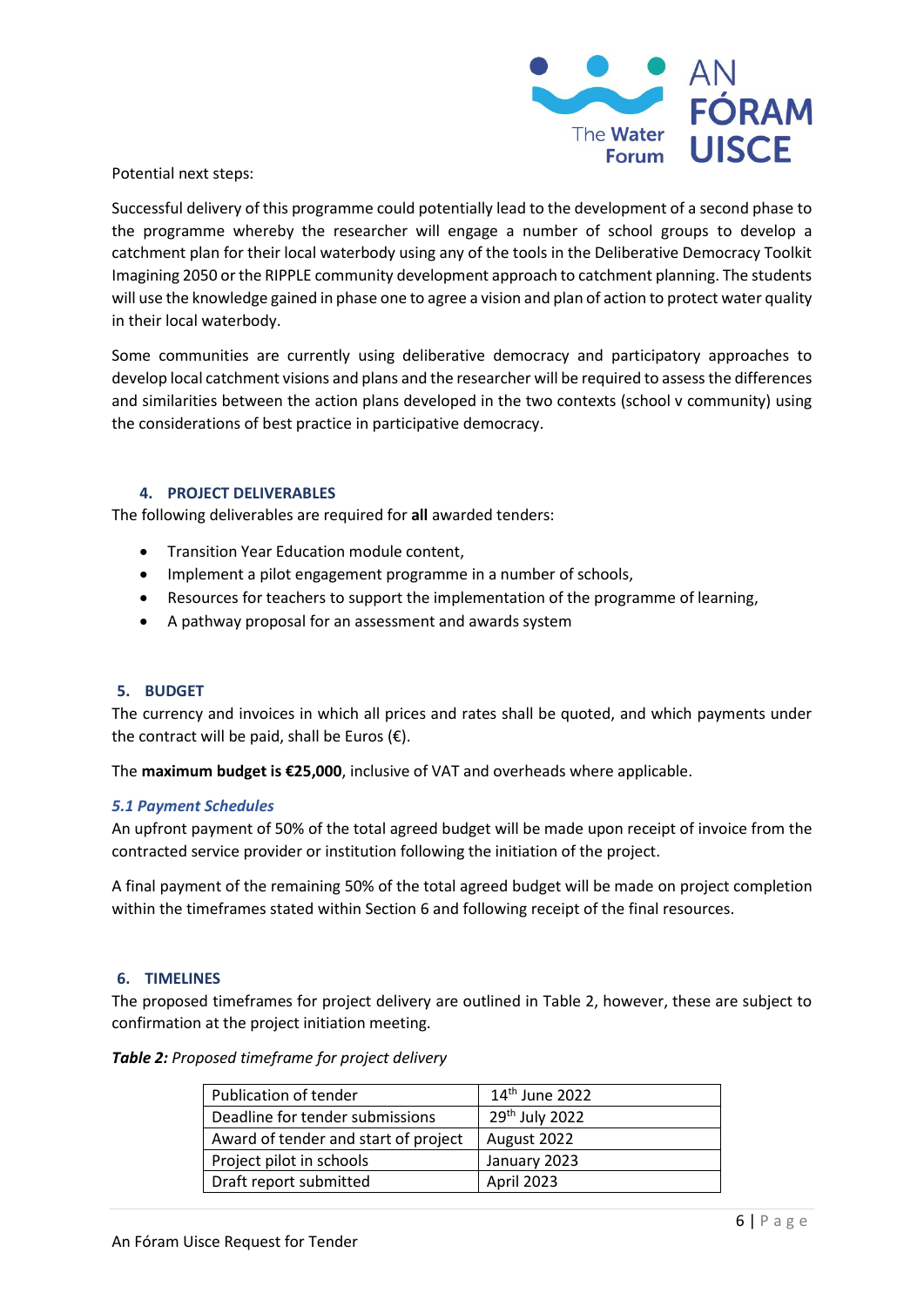

Potential next steps:

Successful delivery of this programme could potentially lead to the development of a second phase to the programme whereby the researcher will engage a number of school groups to develop a catchment plan for their local waterbody using any of the tools in the Deliberative Democracy Toolkit Imagining 2050 or the RIPPLE community development approach to catchment planning. The students will use the knowledge gained in phase one to agree a vision and plan of action to protect water quality in their local waterbody.

Some communities are currently using deliberative democracy and participatory approaches to develop local catchment visions and plans and the researcher will be required to assess the differences and similarities between the action plans developed in the two contexts (school v community) using the considerations of best practice in participative democracy.

#### **4. PROJECT DELIVERABLES**

<span id="page-5-0"></span>The following deliverables are required for **all** awarded tenders:

- Transition Year Education module content,
- Implement a pilot engagement programme in a number of schools,
- Resources for teachers to support the implementation of the programme of learning,
- A pathway proposal for an assessment and awards system

#### <span id="page-5-1"></span>**5. BUDGET**

The currency and invoices in which all prices and rates shall be quoted, and which payments under the contract will be paid, shall be Euros  $(\epsilon)$ .

The **maximum budget is €25,000**, inclusive of VAT and overheads where applicable.

#### *5.1 Payment Schedules*

An upfront payment of 50% of the total agreed budget will be made upon receipt of invoice from the contracted service provider or institution following the initiation of the project.

A final payment of the remaining 50% of the total agreed budget will be made on project completion within the timeframes stated within Section 6 and following receipt of the final resources.

#### <span id="page-5-2"></span>**6. TIMELINES**

The proposed timeframes for project delivery are outlined in [Table 2,](#page-5-3) however, these are subject to confirmation at the project initiation meeting.

#### <span id="page-5-3"></span>*Table 2: Proposed timeframe for project delivery*

| Publication of tender                | 14 <sup>th</sup> June 2022 |
|--------------------------------------|----------------------------|
| Deadline for tender submissions      | 29 <sup>th</sup> July 2022 |
| Award of tender and start of project | August 2022                |
| Project pilot in schools             | January 2023               |
| Draft report submitted               | April 2023                 |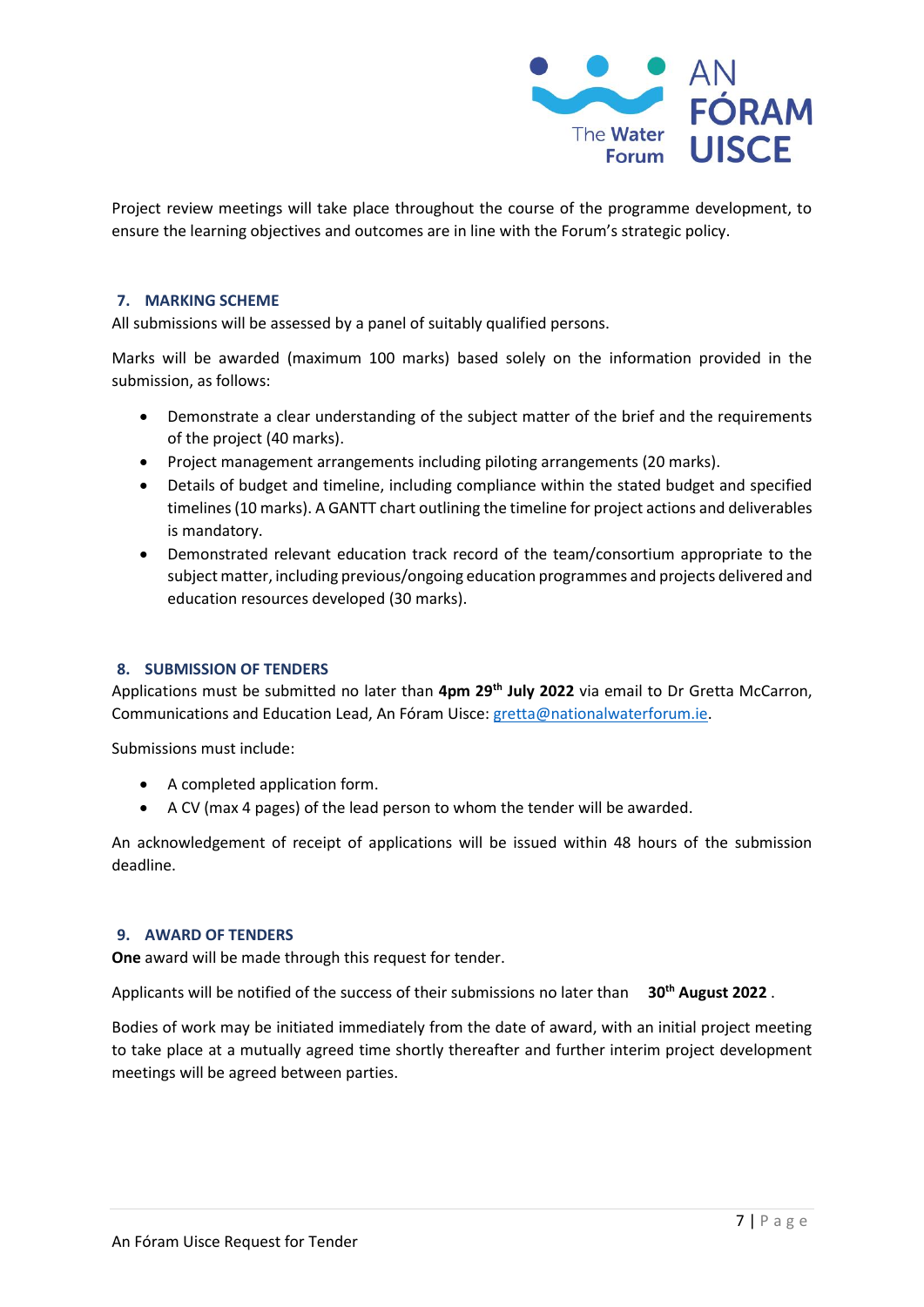

Project review meetings will take place throughout the course of the programme development, to ensure the learning objectives and outcomes are in line with the Forum's strategic policy.

#### <span id="page-6-0"></span>**7. MARKING SCHEME**

All submissions will be assessed by a panel of suitably qualified persons.

Marks will be awarded (maximum 100 marks) based solely on the information provided in the submission, as follows:

- Demonstrate a clear understanding of the subject matter of the brief and the requirements of the project (40 marks).
- Project management arrangements including piloting arrangements (20 marks).
- Details of budget and timeline, including compliance within the stated budget and specified timelines (10 marks). A GANTT chart outlining the timeline for project actions and deliverables is mandatory.
- Demonstrated relevant education track record of the team/consortium appropriate to the subject matter, including previous/ongoing education programmes and projects delivered and education resources developed (30 marks).

#### <span id="page-6-1"></span>**8. SUBMISSION OF TENDERS**

Applications must be submitted no later than **4pm 29th July 2022** via email to Dr Gretta McCarron, Communications and Education Lead, An Fóram Uisce: [gretta@nationalwaterforum.ie.](mailto:gretta@nationalwaterforum.ie)

Submissions must include:

- A completed application form.
- A CV (max 4 pages) of the lead person to whom the tender will be awarded.

An acknowledgement of receipt of applications will be issued within 48 hours of the submission deadline.

#### <span id="page-6-2"></span>**9. AWARD OF TENDERS**

**One** award will be made through this request for tender.

Applicants will be notified of the success of their submissions no later than **30th August 2022** .

Bodies of work may be initiated immediately from the date of award, with an initial project meeting to take place at a mutually agreed time shortly thereafter and further interim project development meetings will be agreed between parties.